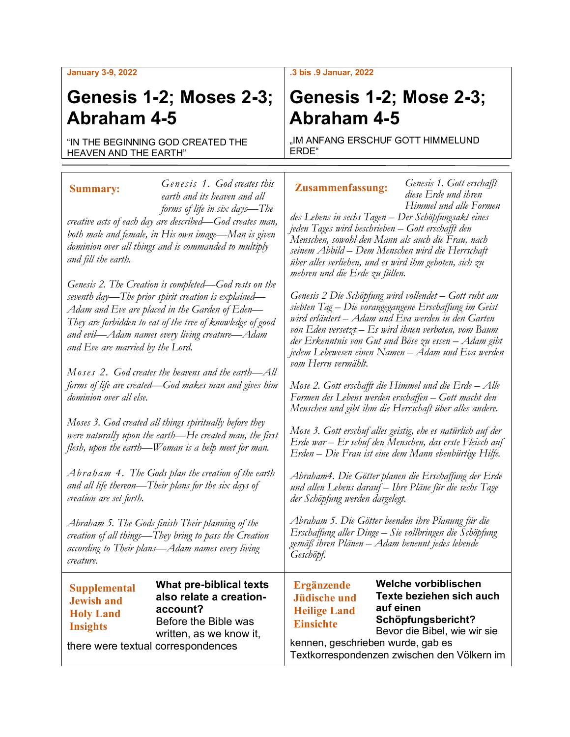#### **January 3-9, 2022**

## **Genesis 1-2; Moses 2-3; Abraham 4-5**

"IN THE BEGINNING GOD CREATED THE HEAVEN AND THE EARTH"

*Genesis 1. God creates this earth and its heaven and all forms of life in six days—The creative acts of each day are described—God creates man, both male and female, in His own image—Man is given dominion over all things and is commanded to multiply and fill the earth. Genesis 2. The Creation is completed—God rests on the*  **Summary:**

*seventh day—The prior spirit creation is explained— Adam and Eve are placed in the Garden of Eden— They are forbidden to eat of the tree of knowledge of good and evil—Adam names every living creature—Adam and Eve are married by the Lord.*

*Moses 2. God creates the heavens and the earth—All forms of life are created—God makes man and gives him dominion over all else.*

*Moses 3. God created all things spiritually before they were naturally upon the earth—He created man, the first flesh, upon the earth—Woman is a help meet for man.*

*Abraham 4. The Gods plan the creation of the earth and all life thereon—Their plans for the six days of creation are set forth.*

*Abraham 5. The Gods finish Their planning of the creation of all things—They bring to pass the Creation according to Their plans—Adam names every living creature.*

### **Supplemental Jewish and Holy Land Insights**

**What pre-biblical texts also relate a creationaccount?** Before the Bible was written, as we know it,

there were textual correspondences

### **.3 bis .9 Januar, 2022**

# **Genesis 1-2; Mose 2-3; Abraham 4-5**

..IM ANFANG ERSCHUF GOTT HIMMELUND ERDE"

### **Zusammenfassung:**

*Genesis 1. Gott erschafft diese Erde und ihren Himmel und alle Formen* 

*des Lebens in sechs Tagen – Der Schöpfungsakt eines jeden Tages wird beschrieben – Gott erschafft den Menschen, sowohl den Mann als auch die Frau, nach seinem Abbild – Dem Menschen wird die Herrschaft über alles verliehen, und es wird ihm geboten, sich zu mehren und die Erde zu füllen.*

*Genesis 2 Die Schöpfung wird vollendet – Gott ruht am siebten Tag – Die vorangegangene Erschaffung im Geist wird erläutert – Adam und Eva werden in den Garten von Eden versetzt – Es wird ihnen verboten, vom Baum der Erkenntnis von Gut und Böse zu essen – Adam gibt jedem Lebewesen einen Namen – Adam und Eva werden vom Herrn vermählt.*

*Mose 2. Gott erschafft die Himmel und die Erde – Alle Formen des Lebens werden erschaffen – Gott macht den Menschen und gibt ihm die Herrschaft über alles andere.*

*Mose 3. Gott erschuf alles geistig, ehe es natürlich auf der Erde war – Er schuf den Menschen, das erste Fleisch auf Erden – Die Frau ist eine dem Mann ebenbürtige Hilfe.*

*Abraham4. Die Götter planen die Erschaffung der Erde und allen Lebens darauf – Ihre Pläne für die sechs Tage der Schöpfung werden dargelegt.*

*Abraham 5. Die Götter beenden ihre Planung für die Erschaffung aller Dinge – Sie vollbringen die Schöpfung gemäß ihren Plänen – Adam benennt jedes lebende Geschöpf.*

**Ergänzende Jüdische und Heilige Land Einsichte**

**Welche vorbiblischen Texte beziehen sich auch auf einen Schöpfungsbericht?** Bevor die Bibel, wie wir sie

kennen, geschrieben wurde, gab es Textkorrespondenzen zwischen den Völkern im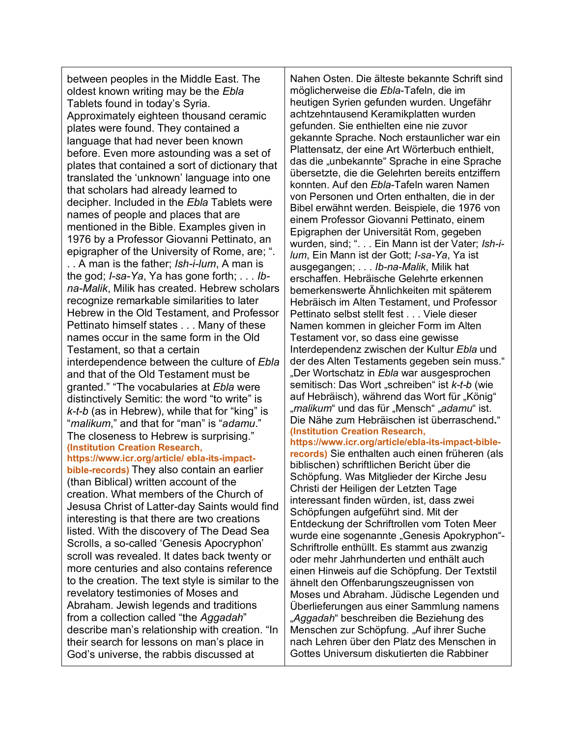between peoples in the Middle East. The oldest known writing may be the *Ebla* Tablets found in today's Syria. Approximately eighteen thousand ceramic plates were found. They contained a language that had never been known before. Even more astounding was a set of plates that contained a sort of dictionary that translated the 'unknown' language into one that scholars had already learned to decipher. Included in the *Ebla* Tablets were names of people and places that are mentioned in the Bible. Examples given in 1976 by a Professor Giovanni Pettinato, an epigrapher of the University of Rome, are; ". . . A man is the father; *Ish-i-lum*, A man is the god; *I-sa-Ya*, Ya has gone forth; . . . *Ibna-Malik*, Milik has created. Hebrew scholars recognize remarkable similarities to later Hebrew in the Old Testament, and Professor Pettinato himself states . . . Many of these names occur in the same form in the Old Testament, so that a certain interdependence between the culture of *Ebla* and that of the Old Testament must be granted." "The vocabularies at *Ebla* were distinctively Semitic: the word "to write" is *k-t-b* (as in Hebrew), while that for "king" is "*malikum*," and that for "man" is "*adamu*." The closeness to Hebrew is surprising." **(Institution Creation Research, https://www.icr.org/article/ ebla-its-impactbible-records)** They also contain an earlier

(than Biblical) written account of the creation. What members of the Church of Jesusa Christ of Latter-day Saints would find interesting is that there are two creations listed. With the discovery of The Dead Sea Scrolls, a so-called 'Genesis Apocryphon' scroll was revealed. It dates back twenty or more centuries and also contains reference to the creation. The text style is similar to the revelatory testimonies of Moses and Abraham. Jewish legends and traditions from a collection called "the *Aggadah*" describe man's relationship with creation. "In their search for lessons on man's place in God's universe, the rabbis discussed at

Nahen Osten. Die älteste bekannte Schrift sind möglicherweise die *Ebla*-Tafeln, die im heutigen Syrien gefunden wurden. Ungefähr achtzehntausend Keramikplatten wurden gefunden. Sie enthielten eine nie zuvor gekannte Sprache. Noch erstaunlicher war ein Plattensatz, der eine Art Wörterbuch enthielt, das die "unbekannte" Sprache in eine Sprache übersetzte, die die Gelehrten bereits entziffern konnten. Auf den *Ebla*-Tafeln waren Namen von Personen und Orten enthalten, die in der Bibel erwähnt werden. Beispiele, die 1976 von einem Professor Giovanni Pettinato, einem Epigraphen der Universität Rom, gegeben wurden, sind; ". . . Ein Mann ist der Vater; *Ish-ilum*, Ein Mann ist der Gott; *I-sa-Ya*, Ya ist ausgegangen; . . . *Ib-na-Malik*, Milik hat erschaffen. Hebräische Gelehrte erkennen bemerkenswerte Ähnlichkeiten mit späterem Hebräisch im Alten Testament, und Professor Pettinato selbst stellt fest . . . Viele dieser Namen kommen in gleicher Form im Alten Testament vor, so dass eine gewisse Interdependenz zwischen der Kultur *Ebla* und der des Alten Testaments gegeben sein muss." "Der Wortschatz in Ebla war ausgesprochen semitisch: Das Wort "schreiben" ist *k-t-b* (wie auf Hebräisch), während das Wort für "König" "*malikum*" und das für "Mensch" "*adamu*" ist. Die Nähe zum Hebräischen ist überraschend**.**" **(Institution Creation Research,** 

**https://www.icr.org/article/ebla-its-impact-biblerecords)** Sie enthalten auch einen früheren (als biblischen) schriftlichen Bericht über die Schöpfung. Was Mitglieder der Kirche Jesu Christi der Heiligen der Letzten Tage interessant finden würden, ist, dass zwei Schöpfungen aufgeführt sind. Mit der Entdeckung der Schriftrollen vom Toten Meer wurde eine sogenannte "Genesis Apokryphon"-Schriftrolle enthüllt. Es stammt aus zwanzig oder mehr Jahrhunderten und enthält auch einen Hinweis auf die Schöpfung. Der Textstil ähnelt den Offenbarungszeugnissen von Moses und Abraham. Jüdische Legenden und Überlieferungen aus einer Sammlung namens "*Aggadah*" beschreiben die Beziehung des Menschen zur Schöpfung. "Auf ihrer Suche nach Lehren über den Platz des Menschen in Gottes Universum diskutierten die Rabbiner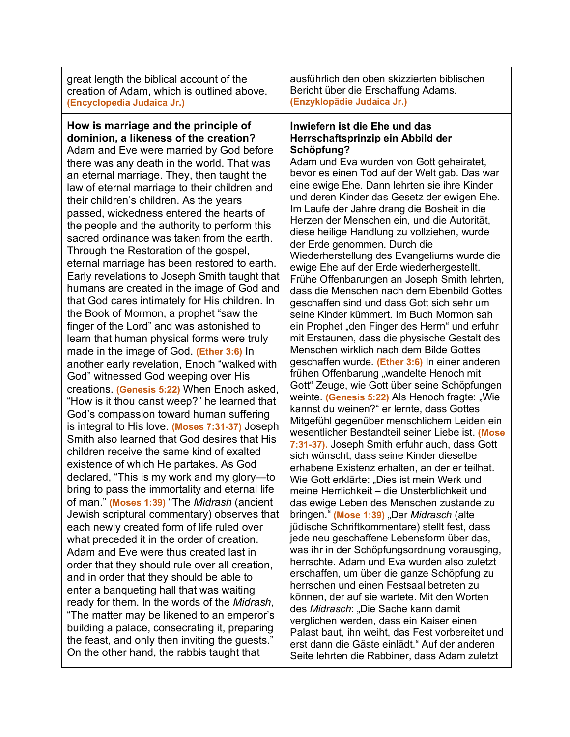| great length the biblical account of the                                                                                                                                                                                                                                                                                                                                                                                                                                                                                                                                                                                                                                                                                                                                                                                                                                                                                                                                                                                                                                                                                                                                                                                                                                                                                                                                                                                                                                                                                                                                                                                                                                                                                                                                                                                                                                                                                                                                                                                                      | ausführlich den oben skizzierten biblischen                                                                                                                                                                                                                                                                                                                                                                                                                                                                                                                                                                                                                                                                                                                                                                                                                                                                                                                                                                                                                                                                                                                                                                                                                                                                                                                                                                                                                                                                                                                                                                                                                                                                                                                                                                                                                                                                                                                                                                                                                                                                                                                   |
|-----------------------------------------------------------------------------------------------------------------------------------------------------------------------------------------------------------------------------------------------------------------------------------------------------------------------------------------------------------------------------------------------------------------------------------------------------------------------------------------------------------------------------------------------------------------------------------------------------------------------------------------------------------------------------------------------------------------------------------------------------------------------------------------------------------------------------------------------------------------------------------------------------------------------------------------------------------------------------------------------------------------------------------------------------------------------------------------------------------------------------------------------------------------------------------------------------------------------------------------------------------------------------------------------------------------------------------------------------------------------------------------------------------------------------------------------------------------------------------------------------------------------------------------------------------------------------------------------------------------------------------------------------------------------------------------------------------------------------------------------------------------------------------------------------------------------------------------------------------------------------------------------------------------------------------------------------------------------------------------------------------------------------------------------|---------------------------------------------------------------------------------------------------------------------------------------------------------------------------------------------------------------------------------------------------------------------------------------------------------------------------------------------------------------------------------------------------------------------------------------------------------------------------------------------------------------------------------------------------------------------------------------------------------------------------------------------------------------------------------------------------------------------------------------------------------------------------------------------------------------------------------------------------------------------------------------------------------------------------------------------------------------------------------------------------------------------------------------------------------------------------------------------------------------------------------------------------------------------------------------------------------------------------------------------------------------------------------------------------------------------------------------------------------------------------------------------------------------------------------------------------------------------------------------------------------------------------------------------------------------------------------------------------------------------------------------------------------------------------------------------------------------------------------------------------------------------------------------------------------------------------------------------------------------------------------------------------------------------------------------------------------------------------------------------------------------------------------------------------------------------------------------------------------------------------------------------------------------|
| creation of Adam, which is outlined above.                                                                                                                                                                                                                                                                                                                                                                                                                                                                                                                                                                                                                                                                                                                                                                                                                                                                                                                                                                                                                                                                                                                                                                                                                                                                                                                                                                                                                                                                                                                                                                                                                                                                                                                                                                                                                                                                                                                                                                                                    | Bericht über die Erschaffung Adams.                                                                                                                                                                                                                                                                                                                                                                                                                                                                                                                                                                                                                                                                                                                                                                                                                                                                                                                                                                                                                                                                                                                                                                                                                                                                                                                                                                                                                                                                                                                                                                                                                                                                                                                                                                                                                                                                                                                                                                                                                                                                                                                           |
| (Encyclopedia Judaica Jr.)                                                                                                                                                                                                                                                                                                                                                                                                                                                                                                                                                                                                                                                                                                                                                                                                                                                                                                                                                                                                                                                                                                                                                                                                                                                                                                                                                                                                                                                                                                                                                                                                                                                                                                                                                                                                                                                                                                                                                                                                                    | (Enzyklopädie Judaica Jr.)                                                                                                                                                                                                                                                                                                                                                                                                                                                                                                                                                                                                                                                                                                                                                                                                                                                                                                                                                                                                                                                                                                                                                                                                                                                                                                                                                                                                                                                                                                                                                                                                                                                                                                                                                                                                                                                                                                                                                                                                                                                                                                                                    |
| How is marriage and the principle of<br>dominion, a likeness of the creation?<br>Adam and Eve were married by God before<br>there was any death in the world. That was<br>an eternal marriage. They, then taught the<br>law of eternal marriage to their children and<br>their children's children. As the years<br>passed, wickedness entered the hearts of<br>the people and the authority to perform this<br>sacred ordinance was taken from the earth.<br>Through the Restoration of the gospel,<br>eternal marriage has been restored to earth.<br>Early revelations to Joseph Smith taught that<br>humans are created in the image of God and<br>that God cares intimately for His children. In<br>the Book of Mormon, a prophet "saw the<br>finger of the Lord" and was astonished to<br>learn that human physical forms were truly<br>made in the image of God. (Ether 3:6) In<br>another early revelation, Enoch "walked with<br>God" witnessed God weeping over His<br>creations. (Genesis 5:22) When Enoch asked,<br>"How is it thou canst weep?" he learned that<br>God's compassion toward human suffering<br>is integral to His love. (Moses 7:31-37) Joseph<br>Smith also learned that God desires that His<br>children receive the same kind of exalted<br>existence of which He partakes. As God<br>declared, "This is my work and my glory---<br>bring to pass the immortality and eternal life<br>of man." (Moses 1:39) "The Midrash (ancient<br>Jewish scriptural commentary) observes that<br>each newly created form of life ruled over<br>what preceded it in the order of creation.<br>Adam and Eve were thus created last in<br>order that they should rule over all creation,<br>and in order that they should be able to<br>enter a banqueting hall that was waiting<br>ready for them. In the words of the Midrash,<br>"The matter may be likened to an emperor's<br>building a palace, consecrating it, preparing<br>the feast, and only then inviting the guests."<br>On the other hand, the rabbis taught that | Inwiefern ist die Ehe und das<br>Herrschaftsprinzip ein Abbild der<br>Schöpfung?<br>Adam und Eva wurden von Gott geheiratet,<br>bevor es einen Tod auf der Welt gab. Das war<br>eine ewige Ehe. Dann lehrten sie ihre Kinder<br>und deren Kinder das Gesetz der ewigen Ehe.<br>Im Laufe der Jahre drang die Bosheit in die<br>Herzen der Menschen ein, und die Autorität,<br>diese heilige Handlung zu vollziehen, wurde<br>der Erde genommen. Durch die<br>Wiederherstellung des Evangeliums wurde die<br>ewige Ehe auf der Erde wiederhergestellt.<br>Frühe Offenbarungen an Joseph Smith lehrten,<br>dass die Menschen nach dem Ebenbild Gottes<br>geschaffen sind und dass Gott sich sehr um<br>seine Kinder kümmert. Im Buch Mormon sah<br>ein Prophet "den Finger des Herrn" und erfuhr<br>mit Erstaunen, dass die physische Gestalt des<br>Menschen wirklich nach dem Bilde Gottes<br>geschaffen wurde. (Ether 3:6) In einer anderen<br>frühen Offenbarung "wandelte Henoch mit<br>Gott" Zeuge, wie Gott über seine Schöpfungen<br>weinte. (Genesis 5:22) Als Henoch fragte: "Wie<br>kannst du weinen?" er lernte, dass Gottes<br>Mitgefühl gegenüber menschlichem Leiden ein<br>wesentlicher Bestandteil seiner Liebe ist. (Mose<br>7:31-37). Joseph Smith erfuhr auch, dass Gott<br>sich wünscht, dass seine Kinder dieselbe<br>erhabene Existenz erhalten, an der er teilhat.<br>Wie Gott erklärte: "Dies ist mein Werk und<br>meine Herrlichkeit - die Unsterblichkeit und<br>das ewige Leben des Menschen zustande zu<br>bringen." (Mose 1:39) "Der Midrasch (alte<br>jüdische Schriftkommentare) stellt fest, dass<br>jede neu geschaffene Lebensform über das,<br>was ihr in der Schöpfungsordnung vorausging,<br>herrschte. Adam und Eva wurden also zuletzt<br>erschaffen, um über die ganze Schöpfung zu<br>herrschen und einen Festsaal betreten zu<br>können, der auf sie wartete. Mit den Worten<br>des Midrasch: "Die Sache kann damit<br>verglichen werden, dass ein Kaiser einen<br>Palast baut, ihn weiht, das Fest vorbereitet und<br>erst dann die Gäste einlädt." Auf der anderen<br>Seite lehrten die Rabbiner, dass Adam zuletzt |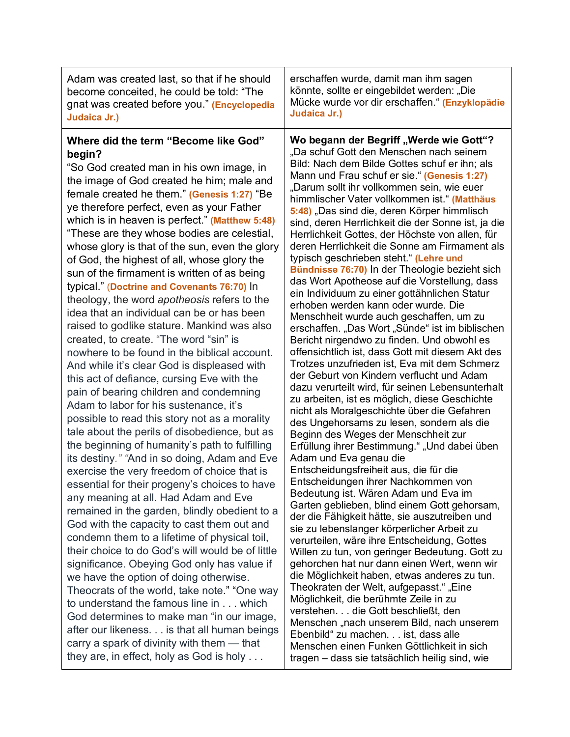| Adam was created last, so that if he should                                                                                                                                                                                                                                                                                                                                                                                                                                                                                                                                                                                                                                                                                                                                                                                                                                                                                                                                                                                                                                                                                                                                                                                                                                                                                                                                                                                                                                                                                                                                                                                                                                                                                                                                                                                                                                          | erschaffen wurde, damit man ihm sagen                                                                                                                                                                                                                                                                                                                                                                                                                                                                                                                                                                                                                                                                                                                                                                                                                                                                                                                                                                                                                                                                                                                                                                                                                                                                                                                                                                                                                                                                                                                                                                                                                                                                                                                                                                                                                                                                                                                                                                                                                                                                                              |
|--------------------------------------------------------------------------------------------------------------------------------------------------------------------------------------------------------------------------------------------------------------------------------------------------------------------------------------------------------------------------------------------------------------------------------------------------------------------------------------------------------------------------------------------------------------------------------------------------------------------------------------------------------------------------------------------------------------------------------------------------------------------------------------------------------------------------------------------------------------------------------------------------------------------------------------------------------------------------------------------------------------------------------------------------------------------------------------------------------------------------------------------------------------------------------------------------------------------------------------------------------------------------------------------------------------------------------------------------------------------------------------------------------------------------------------------------------------------------------------------------------------------------------------------------------------------------------------------------------------------------------------------------------------------------------------------------------------------------------------------------------------------------------------------------------------------------------------------------------------------------------------|------------------------------------------------------------------------------------------------------------------------------------------------------------------------------------------------------------------------------------------------------------------------------------------------------------------------------------------------------------------------------------------------------------------------------------------------------------------------------------------------------------------------------------------------------------------------------------------------------------------------------------------------------------------------------------------------------------------------------------------------------------------------------------------------------------------------------------------------------------------------------------------------------------------------------------------------------------------------------------------------------------------------------------------------------------------------------------------------------------------------------------------------------------------------------------------------------------------------------------------------------------------------------------------------------------------------------------------------------------------------------------------------------------------------------------------------------------------------------------------------------------------------------------------------------------------------------------------------------------------------------------------------------------------------------------------------------------------------------------------------------------------------------------------------------------------------------------------------------------------------------------------------------------------------------------------------------------------------------------------------------------------------------------------------------------------------------------------------------------------------------------|
| become conceited, he could be told: "The                                                                                                                                                                                                                                                                                                                                                                                                                                                                                                                                                                                                                                                                                                                                                                                                                                                                                                                                                                                                                                                                                                                                                                                                                                                                                                                                                                                                                                                                                                                                                                                                                                                                                                                                                                                                                                             | könnte, sollte er eingebildet werden: "Die                                                                                                                                                                                                                                                                                                                                                                                                                                                                                                                                                                                                                                                                                                                                                                                                                                                                                                                                                                                                                                                                                                                                                                                                                                                                                                                                                                                                                                                                                                                                                                                                                                                                                                                                                                                                                                                                                                                                                                                                                                                                                         |
| gnat was created before you." (Encyclopedia                                                                                                                                                                                                                                                                                                                                                                                                                                                                                                                                                                                                                                                                                                                                                                                                                                                                                                                                                                                                                                                                                                                                                                                                                                                                                                                                                                                                                                                                                                                                                                                                                                                                                                                                                                                                                                          | Mücke wurde vor dir erschaffen." (Enzyklopädie                                                                                                                                                                                                                                                                                                                                                                                                                                                                                                                                                                                                                                                                                                                                                                                                                                                                                                                                                                                                                                                                                                                                                                                                                                                                                                                                                                                                                                                                                                                                                                                                                                                                                                                                                                                                                                                                                                                                                                                                                                                                                     |
| Judaica Jr.)                                                                                                                                                                                                                                                                                                                                                                                                                                                                                                                                                                                                                                                                                                                                                                                                                                                                                                                                                                                                                                                                                                                                                                                                                                                                                                                                                                                                                                                                                                                                                                                                                                                                                                                                                                                                                                                                         | Judaica Jr.)                                                                                                                                                                                                                                                                                                                                                                                                                                                                                                                                                                                                                                                                                                                                                                                                                                                                                                                                                                                                                                                                                                                                                                                                                                                                                                                                                                                                                                                                                                                                                                                                                                                                                                                                                                                                                                                                                                                                                                                                                                                                                                                       |
| Where did the term "Become like God"<br>begin?<br>"So God created man in his own image, in<br>the image of God created he him; male and<br>female created he them." (Genesis 1:27) "Be<br>ye therefore perfect, even as your Father<br>which is in heaven is perfect." (Matthew 5:48)<br>"These are they whose bodies are celestial,<br>whose glory is that of the sun, even the glory<br>of God, the highest of all, whose glory the<br>sun of the firmament is written of as being<br>typical." (Doctrine and Covenants 76:70) In<br>theology, the word apotheosis refers to the<br>idea that an individual can be or has been<br>raised to godlike stature. Mankind was also<br>created, to create. "The word "sin" is<br>nowhere to be found in the biblical account.<br>And while it's clear God is displeased with<br>this act of defiance, cursing Eve with the<br>pain of bearing children and condemning<br>Adam to labor for his sustenance, it's<br>possible to read this story not as a morality<br>tale about the perils of disobedience, but as<br>the beginning of humanity's path to fulfilling<br>its destiny." "And in so doing, Adam and Eve<br>exercise the very freedom of choice that is<br>essential for their progeny's choices to have<br>any meaning at all. Had Adam and Eve<br>remained in the garden, blindly obedient to a<br>God with the capacity to cast them out and<br>condemn them to a lifetime of physical toil,<br>their choice to do God's will would be of little<br>significance. Obeying God only has value if<br>we have the option of doing otherwise.<br>Theocrats of the world, take note." "One way<br>to understand the famous line in which<br>God determines to make man "in our image,<br>after our likeness. is that all human beings<br>carry a spark of divinity with them - that<br>they are, in effect, holy as God is holy | Wo begann der Begriff "Werde wie Gott"?<br>"Da schuf Gott den Menschen nach seinem<br>Bild: Nach dem Bilde Gottes schuf er ihn; als<br>Mann und Frau schuf er sie." (Genesis 1:27)<br>"Darum sollt ihr vollkommen sein, wie euer<br>himmlischer Vater vollkommen ist." (Matthäus<br>5:48) "Das sind die, deren Körper himmlisch<br>sind, deren Herrlichkeit die der Sonne ist, ja die<br>Herrlichkeit Gottes, der Höchste von allen, für<br>deren Herrlichkeit die Sonne am Firmament als<br>typisch geschrieben steht." (Lehre und<br>Bündnisse 76:70) In der Theologie bezieht sich<br>das Wort Apotheose auf die Vorstellung, dass<br>ein Individuum zu einer gottähnlichen Statur<br>erhoben werden kann oder wurde. Die<br>Menschheit wurde auch geschaffen, um zu<br>erschaffen. "Das Wort "Sünde" ist im biblischen<br>Bericht nirgendwo zu finden. Und obwohl es<br>offensichtlich ist, dass Gott mit diesem Akt des<br>Trotzes unzufrieden ist, Eva mit dem Schmerz<br>der Geburt von Kindern verflucht und Adam<br>dazu verurteilt wird, für seinen Lebensunterhalt<br>zu arbeiten, ist es möglich, diese Geschichte<br>nicht als Moralgeschichte über die Gefahren<br>des Ungehorsams zu lesen, sondern als die<br>Beginn des Weges der Menschheit zur<br>Erfüllung ihrer Bestimmung." "Und dabei üben<br>Adam und Eva genau die<br>Entscheidungsfreiheit aus, die für die<br>Entscheidungen ihrer Nachkommen von<br>Bedeutung ist. Wären Adam und Eva im<br>Garten geblieben, blind einem Gott gehorsam,<br>der die Fähigkeit hätte, sie auszutreiben und<br>sie zu lebenslanger körperlicher Arbeit zu<br>verurteilen, wäre ihre Entscheidung, Gottes<br>Willen zu tun, von geringer Bedeutung. Gott zu<br>gehorchen hat nur dann einen Wert, wenn wir<br>die Möglichkeit haben, etwas anderes zu tun.<br>Theokraten der Welt, aufgepasst." "Eine<br>Möglichkeit, die berühmte Zeile in zu<br>verstehen. die Gott beschließt, den<br>Menschen "nach unserem Bild, nach unserem<br>Ebenbild" zu machen. ist, dass alle<br>Menschen einen Funken Göttlichkeit in sich<br>tragen - dass sie tatsächlich heilig sind, wie |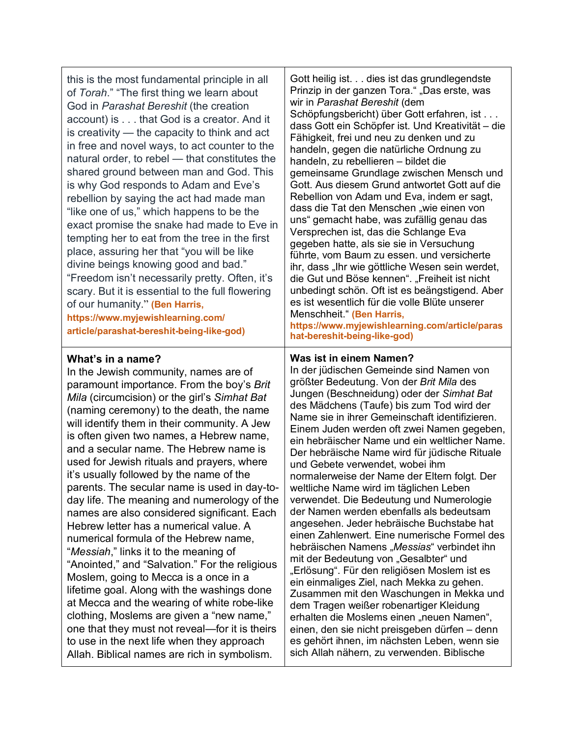this is the most fundamental principle in all of *Torah*." "The first thing we learn about God in *Parashat Bereshit* (the creation account) is . . . that God is a creator. And it is creativity — the capacity to think and act in free and novel ways, to act counter to the natural order, to rebel — that constitutes the shared ground between man and God. This is why God responds to Adam and Eve's rebellion by saying the act had made man "like one of us," which happens to be the exact promise the snake had made to Eve in tempting her to eat from the tree in the first place, assuring her that "you will be like divine beings knowing good and bad." "Freedom isn't necessarily pretty. Often, it's scary. But it is essential to the full flowering of our humanity." **(Ben Harris, https://www.myjewishlearning.com/ article/parashat-bereshit-being-like-god)**

### **What's in a name?**

In the Jewish community, names are of paramount importance. From the boy's *Brit Mila* (circumcision) or the girl's *Simhat Bat* (naming ceremony) to the death, the name will identify them in their community. A Jew is often given two names, a Hebrew name, and a secular name. The Hebrew name is used for Jewish rituals and prayers, where it's usually followed by the name of the parents. The secular name is used in day-today life. The meaning and numerology of the names are also considered significant. Each Hebrew letter has a numerical value. A numerical formula of the Hebrew name, "*Messiah*," links it to the meaning of "Anointed," and "Salvation." For the religious Moslem, going to Mecca is a once in a lifetime goal. Along with the washings done at Mecca and the wearing of white robe-like clothing, Moslems are given a "new name," one that they must not reveal—for it is theirs to use in the next life when they approach Allah. Biblical names are rich in symbolism.

Gott heilig ist. . . dies ist das grundlegendste Prinzip in der ganzen Tora." "Das erste, was wir in *Parashat Bereshit* (dem Schöpfungsbericht) über Gott erfahren, ist . . . dass Gott ein Schöpfer ist. Und Kreativität – die Fähigkeit, frei und neu zu denken und zu handeln, gegen die natürliche Ordnung zu handeln, zu rebellieren – bildet die gemeinsame Grundlage zwischen Mensch und Gott. Aus diesem Grund antwortet Gott auf die Rebellion von Adam und Eva, indem er sagt, dass die Tat den Menschen "wie einen von uns" gemacht habe, was zufällig genau das Versprechen ist, das die Schlange Eva gegeben hatte, als sie sie in Versuchung führte, vom Baum zu essen. und versicherte ihr, dass "Ihr wie göttliche Wesen sein werdet, die Gut und Böse kennen". "Freiheit ist nicht unbedingt schön. Oft ist es beängstigend. Aber es ist wesentlich für die volle Blüte unserer Menschheit." **(Ben Harris,** 

**https://www.myjewishlearning.com/article/paras hat-bereshit-being-like-god)**

### **Was ist in einem Namen?**

In der jüdischen Gemeinde sind Namen von größter Bedeutung. Von der *Brit Mila* des Jungen (Beschneidung) oder der *Simhat Bat* des Mädchens (Taufe) bis zum Tod wird der Name sie in ihrer Gemeinschaft identifizieren. Einem Juden werden oft zwei Namen gegeben, ein hebräischer Name und ein weltlicher Name. Der hebräische Name wird für jüdische Rituale und Gebete verwendet, wobei ihm normalerweise der Name der Eltern folgt. Der weltliche Name wird im täglichen Leben verwendet. Die Bedeutung und Numerologie der Namen werden ebenfalls als bedeutsam angesehen. Jeder hebräische Buchstabe hat einen Zahlenwert. Eine numerische Formel des hebräischen Namens "*Messias*" verbindet ihn mit der Bedeutung von "Gesalbter" und "Erlösung". Für den religiösen Moslem ist es ein einmaliges Ziel, nach Mekka zu gehen. Zusammen mit den Waschungen in Mekka und dem Tragen weißer robenartiger Kleidung erhalten die Moslems einen "neuen Namen", einen, den sie nicht preisgeben dürfen – denn es gehört ihnen, im nächsten Leben, wenn sie sich Allah nähern, zu verwenden. Biblische